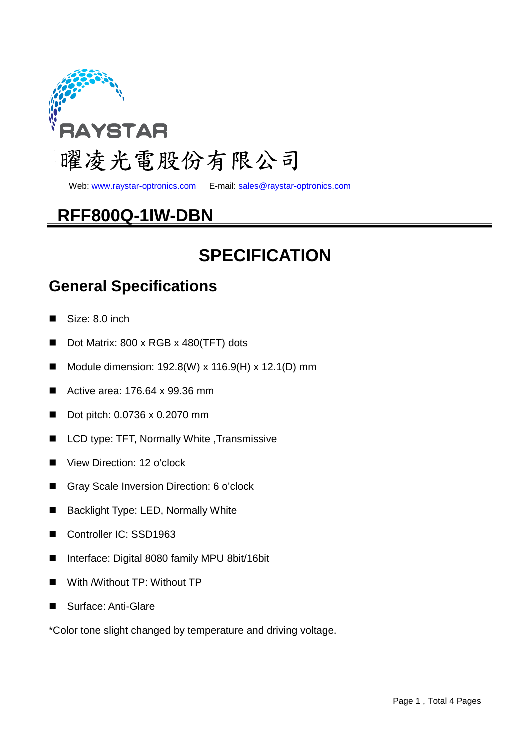

Web: www.raystar-optronics.com E-mail: sales@raystar-optronics.com

## **RFF800Q-1IW-DBN**

## **SPECIFICATION**

#### **General Specifications**

- Size: 8.0 inch
- Dot Matrix: 800 x RGB x 480(TFT) dots
- Module dimension:  $192.8(W)$  x  $116.9(H)$  x  $12.1(D)$  mm
- Active area: 176.64 x 99.36 mm
- Dot pitch: 0.0736 x 0.2070 mm
- LCD type: TFT, Normally White , Transmissive
- View Direction: 12 o'clock
- Gray Scale Inversion Direction: 6 o'clock
- Backlight Type: LED, Normally White
- Controller IC: SSD1963
- Interface: Digital 8080 family MPU 8bit/16bit
- With /Without TP: Without TP
- Surface: Anti-Glare

\*Color tone slight changed by temperature and driving voltage.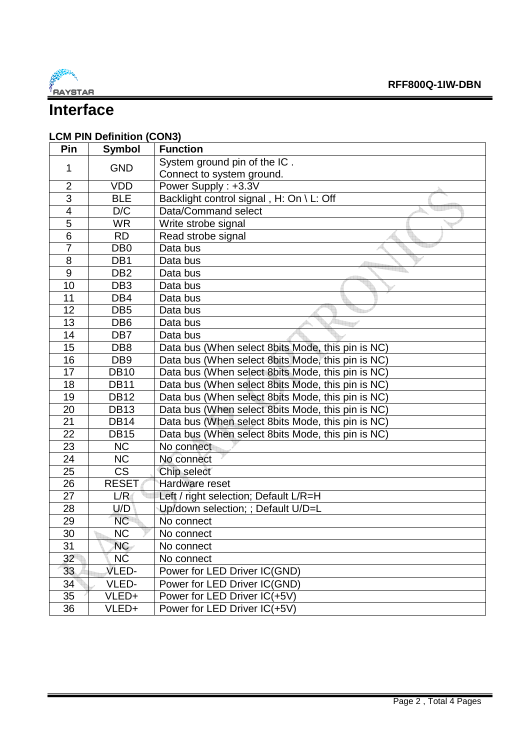

### **Interface**

### **LCM PIN Definition (CON3)**

| Pin             | <b>Symbol</b>   | <b>Function</b>                                   |
|-----------------|-----------------|---------------------------------------------------|
| 1               | <b>GND</b>      | System ground pin of the IC.                      |
|                 |                 | Connect to system ground.                         |
| $\overline{2}$  | <b>VDD</b>      | Power Supply: +3.3V                               |
| 3               | <b>BLE</b>      | Backlight control signal, H: On \ L: Off          |
| 4               | D/C             | Data/Command select                               |
| 5               | <b>WR</b>       | Write strobe signal                               |
| 6               | <b>RD</b>       | Read strobe signal                                |
| $\overline{7}$  | DB <sub>0</sub> | Data bus                                          |
| 8               | DB <sub>1</sub> | Data bus                                          |
| 9               | DB <sub>2</sub> | Data bus                                          |
| 10              | DB <sub>3</sub> | Data bus                                          |
| 11              | DB4             | Data bus                                          |
| 12              | DB <sub>5</sub> | Data bus                                          |
| 13              | DB <sub>6</sub> | Data bus                                          |
| 14              | DB7             | Data bus                                          |
| 15              | DB <sub>8</sub> | Data bus (When select 8bits Mode, this pin is NC) |
| 16              | DB <sub>9</sub> | Data bus (When select 8bits Mode, this pin is NC) |
| 17              | <b>DB10</b>     | Data bus (When select 8bits Mode, this pin is NC) |
| 18              | <b>DB11</b>     | Data bus (When select 8bits Mode, this pin is NC) |
| 19              | <b>DB12</b>     | Data bus (When select 8bits Mode, this pin is NC) |
| 20              | <b>DB13</b>     | Data bus (When select 8bits Mode, this pin is NC) |
| 21              | <b>DB14</b>     | Data bus (When select 8bits Mode, this pin is NC) |
| 22              | <b>DB15</b>     | Data bus (When select 8bits Mode, this pin is NC) |
| 23              | <b>NC</b>       | No connect                                        |
| 24              | <b>NC</b>       | No connect                                        |
| 25              | <b>CS</b>       | Chip select                                       |
| 26              | <b>RESET</b>    | Hardware reset                                    |
| 27              | L/R             | Left / right selection; Default L/R=H             |
| 28              | U/D             | Up/down selection; ; Default U/D=L                |
| 29              | <b>NC</b>       | No connect                                        |
| 30              | <b>NC</b>       | No connect                                        |
| $\overline{31}$ | NC              | No connect                                        |
| 32              | NĆ.             | No connect                                        |
| 33              | VLED-           | Power for LED Driver IC(GND)                      |
| 34              | VLED-           | Power for LED Driver IC(GND)                      |
| 35              | VLED+           | Power for LED Driver IC(+5V)                      |
| 36              | VLED+           | Power for LED Driver IC(+5V)                      |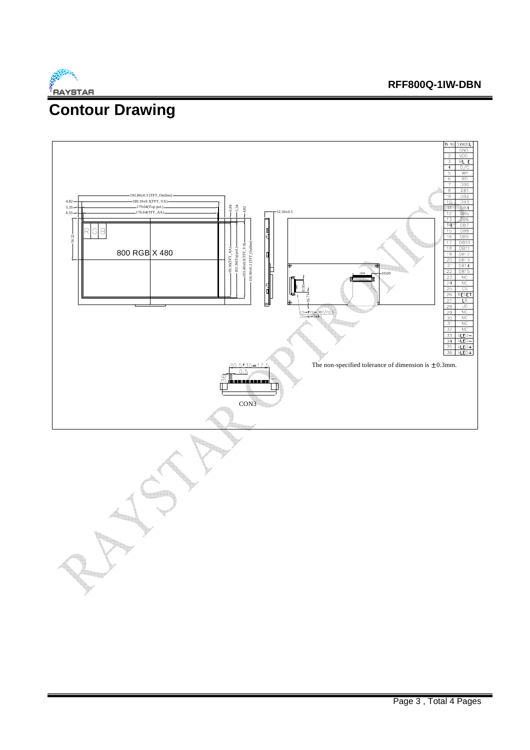

#### **RFF800Q-1IW-DBN**

## **Contour Drawing**